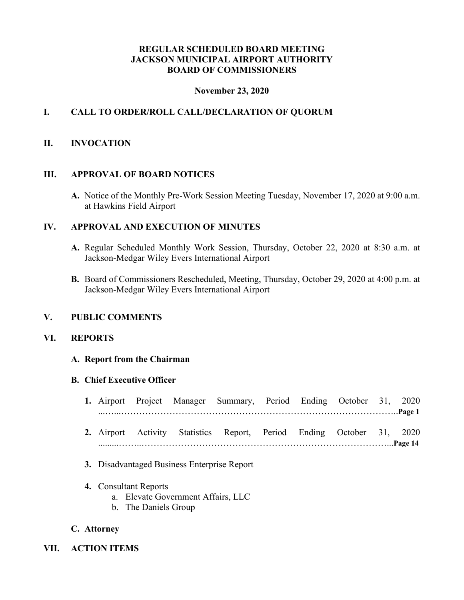## **REGULAR SCHEDULED BOARD MEETING JACKSON MUNICIPAL AIRPORT AUTHORITY BOARD OF COMMISSIONERS**

### **November 23, 2020**

# **I. CALL TO ORDER/ROLL CALL/DECLARATION OF QUORUM**

### **II. INVOCATION**

#### **III. APPROVAL OF BOARD NOTICES**

**A.** Notice of the Monthly Pre-Work Session Meeting Tuesday, November 17, 2020 at 9:00 a.m. at Hawkins Field Airport

## **IV. APPROVAL AND EXECUTION OF MINUTES**

- **A.** Regular Scheduled Monthly Work Session, Thursday, October 22, 2020 at 8:30 a.m. at Jackson-Medgar Wiley Evers International Airport
- **B.** Board of Commissioners Rescheduled, Meeting, Thursday, October 29, 2020 at 4:00 p.m. at Jackson-Medgar Wiley Evers International Airport

### **V. PUBLIC COMMENTS**

### **VI. REPORTS**

#### **A. Report from the Chairman**

#### **B. Chief Executive Officer**

|  |  | 1. Airport Project Manager Summary, Period Ending October 31, 2020    |  |  |  |
|--|--|-----------------------------------------------------------------------|--|--|--|
|  |  |                                                                       |  |  |  |
|  |  | 2. Airport Activity Statistics Report, Period Ending October 31, 2020 |  |  |  |

.........……..………………………………………………………………………...**Page 14**

- **3.** Disadvantaged Business Enterprise Report
- **4.** Consultant Reports
	- a. Elevate Government Affairs, LLC
	- b. The Daniels Group

### **C. Attorney**

**VII. ACTION ITEMS**